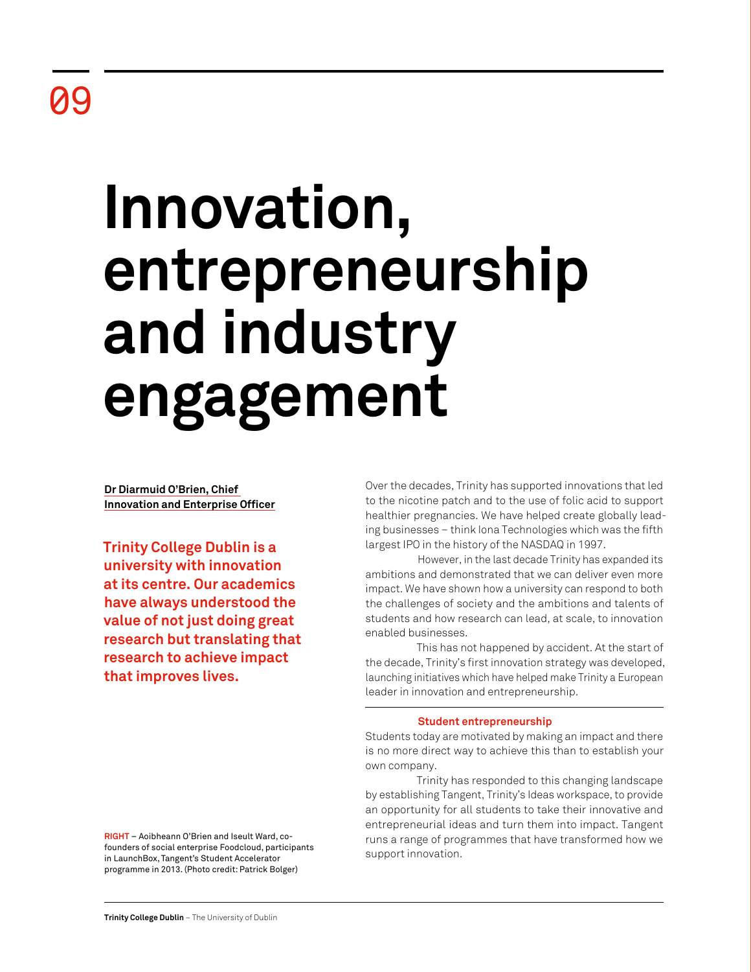# **Innovation, entrepreneurship and industry engagement**

**Dr Diarmuid O'Brien, Chief Innovation and Enterprise Officer**

**Trinity College Dublin is a university with innovation at its centre. Our academics have always understood the value of not just doing great research but translating that research to achieve impact that improves lives.**

Over the decades, Trinity has supported innovations that led to the nicotine patch and to the use of folic acid to support healthier pregnancies. We have helped create globally leading businesses – think Iona Technologies which was the fifth largest IPO in the history of the NASDAQ in 1997.

However, in the last decade Trinity has expanded its ambitions and demonstrated that we can deliver even more impact. We have shown how a university can respond to both the challenges of society and the ambitions and talents of students and how research can lead, at scale, to innovation enabled businesses.

This has not happened by accident. At the start of the decade, Trinity's first innovation strategy was developed, launching initiatives which have helped make Trinity a European leader in innovation and entrepreneurship.

# **Student entrepreneurship**

Students today are motivated by making an impact and there is no more direct way to achieve this than to establish your own company.

Trinity has responded to this changing landscape by establishing Tangent, Trinity's Ideas workspace, to provide an opportunity for all students to take their innovative and entrepreneurial ideas and turn them into impact. Tangent runs a range of programmes that have transformed how we support innovation.

**RIGHT** – Aoibheann O'Brien and Iseult Ward, cofounders of social enterprise Foodcloud, participants in LaunchBox, Tangent's Student Accelerator programme in 2013. (Photo credit: Patrick Bolger)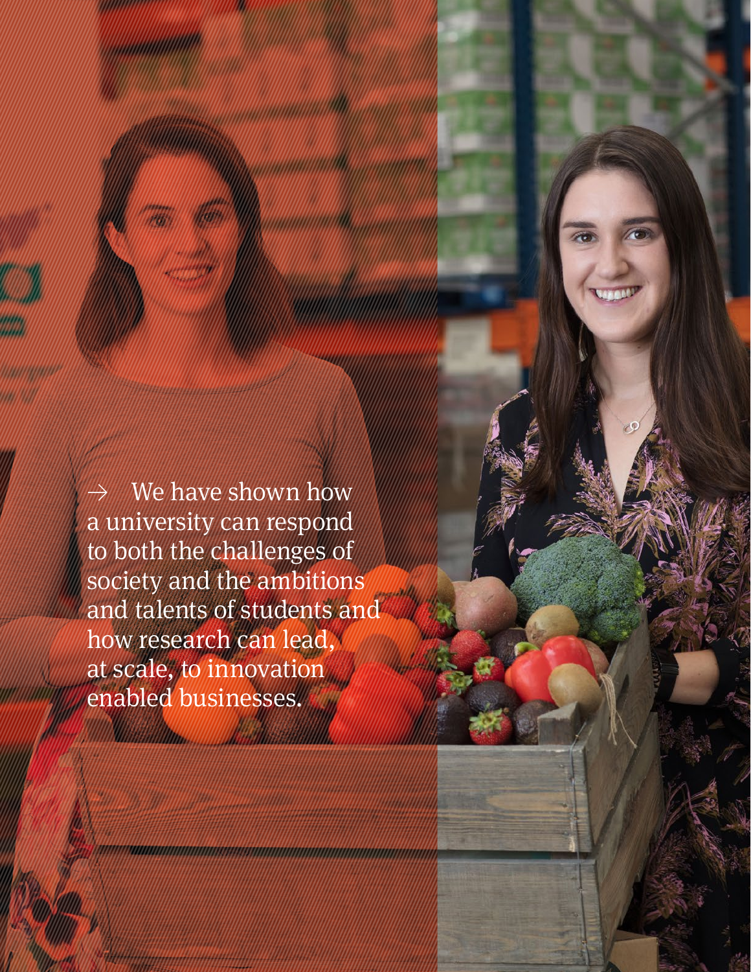We have shown how a university can respond to both the challenges of society and the ambitions and talents of students and how research can lead, at scale, to innovation enabled businesses.

**William** 

**Retrospective Review** 2011–21 72 | 73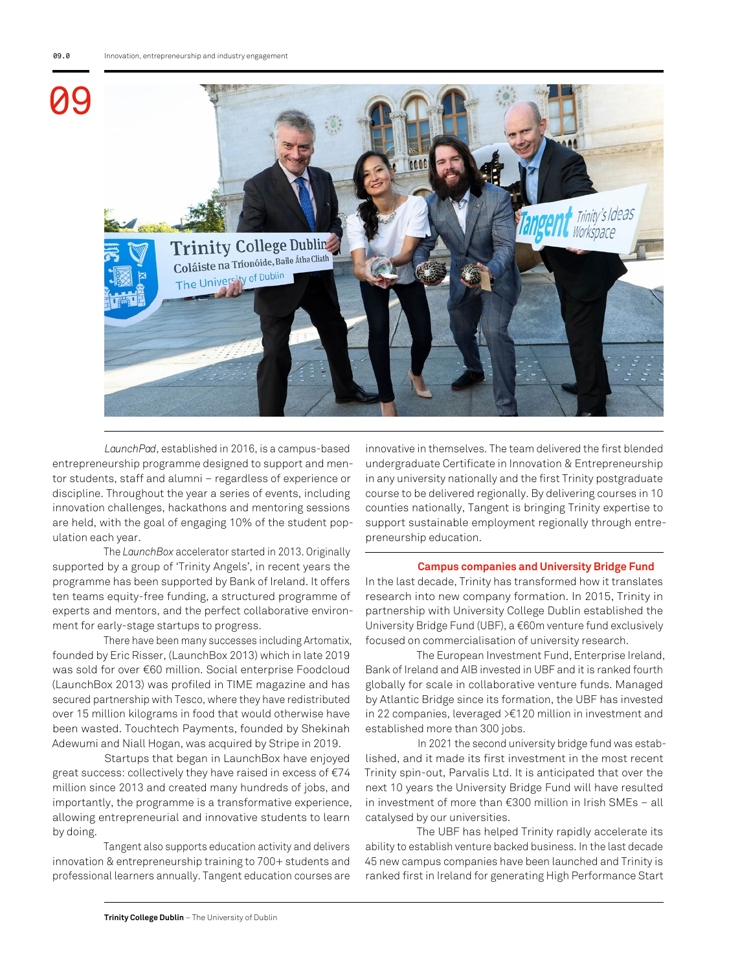

*LaunchPad*, established in 2016, is a campus-based entrepreneurship programme designed to support and mentor students, staff and alumni – regardless of experience or discipline. Throughout the year a series of events, including innovation challenges, hackathons and mentoring sessions are held, with the goal of engaging 10% of the student population each year.

The *LaunchBox* accelerator started in 2013. Originally supported by a group of 'Trinity Angels', in recent years the programme has been supported by Bank of Ireland. It offers ten teams equity-free funding, a structured programme of experts and mentors, and the perfect collaborative environment for early-stage startups to progress.

There have been many successes including Artomatix, founded by Eric Risser, (LaunchBox 2013) which in late 2019 was sold for over €60 million. Social enterprise Foodcloud (LaunchBox 2013) was profiled in TIME magazine and has secured partnership with Tesco, where they have redistributed over 15 million kilograms in food that would otherwise have been wasted. Touchtech Payments, founded by Shekinah Adewumi and Niall Hogan, was acquired by Stripe in 2019.

Startups that began in LaunchBox have enjoyed great success: collectively they have raised in excess of €74 million since 2013 and created many hundreds of jobs, and importantly, the programme is a transformative experience, allowing entrepreneurial and innovative students to learn by doing.

Tangent also supports education activity and delivers innovation & entrepreneurship training to 700+ students and professional learners annually. Tangent education courses are innovative in themselves. The team delivered the first blended undergraduate Certificate in Innovation & Entrepreneurship in any university nationally and the first Trinity postgraduate course to be delivered regionally. By delivering courses in 10 counties nationally, Tangent is bringing Trinity expertise to support sustainable employment regionally through entrepreneurship education.

### **Campus companies and University Bridge Fund**

In the last decade, Trinity has transformed how it translates research into new company formation. In 2015, Trinity in partnership with University College Dublin established the University Bridge Fund (UBF), a €60m venture fund exclusively focused on commercialisation of university research.

The European Investment Fund, Enterprise Ireland, Bank of Ireland and AIB invested in UBF and it is ranked fourth globally for scale in collaborative venture funds. Managed by Atlantic Bridge since its formation, the UBF has invested in 22 companies, leveraged >€120 million in investment and established more than 300 jobs.

In 2021 the second university bridge fund was established, and it made its first investment in the most recent Trinity spin-out, Parvalis Ltd. It is anticipated that over the next 10 years the University Bridge Fund will have resulted in investment of more than €300 million in Irish SMEs – all catalysed by our universities.

The UBF has helped Trinity rapidly accelerate its ability to establish venture backed business. In the last decade 45 new campus companies have been launched and Trinity is ranked first in Ireland for generating High Performance Start